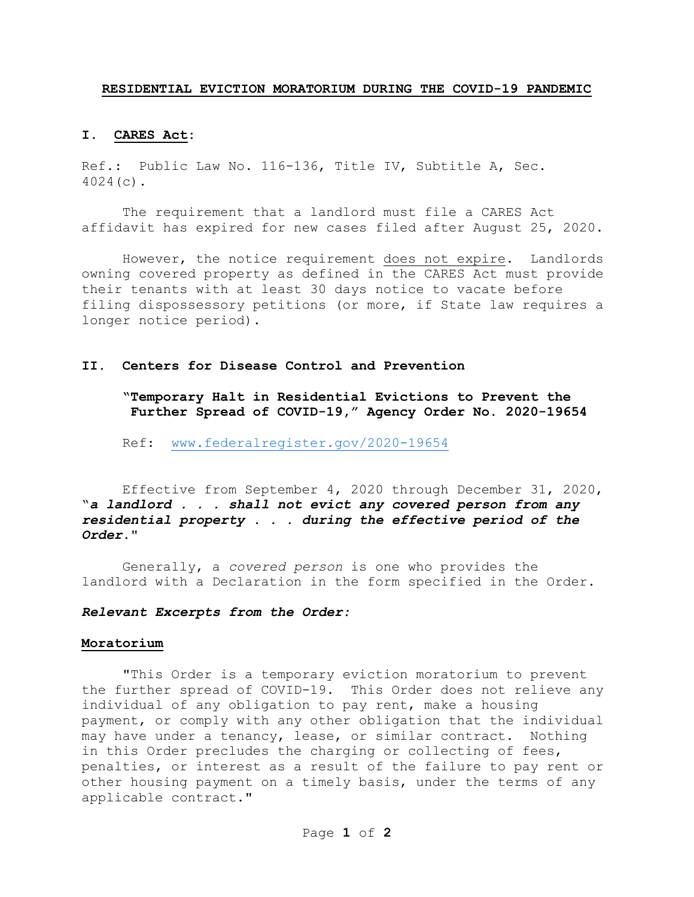#### **RESIDENTIAL EVICTION MORATORIUM DURING THE COVID-19 PANDEMIC**

## **I. CARES Act:**

Ref.: Public Law No. 116-136, Title IV, Subtitle A, Sec. 4024(c).

The requirement that a landlord must file a CARES Act affidavit has expired for new cases filed after August 25, 2020.

However, the notice requirement does not expire. Landlords owning covered property as defined in the CARES Act must provide their tenants with at least 30 days notice to vacate before filing dispossessory petitions (or more, if State law requires a longer notice period).

## **II. Centers for Disease Control and Prevention**

**"Temporary Halt in Residential Evictions to Prevent the Further Spread of COVID-19," Agency Order No. 2020-19654**

Ref:[www.federalregister.gov/2020-19654](http://www.federalregister.gov/2020-19654)

Effective from September 4, 2020 through December 31, 2020, "*a landlord . . . shall not evict any covered person from any residential property . . . during the effective period of the Order*."

Generally, a *covered person* is one who provides the landlord with a Declaration in the form specified in the Order.

## *Relevant Excerpts from the Order:*

#### **Moratorium**

"This Order is a temporary eviction moratorium to prevent the further spread of COVID-19. This Order does not relieve any individual of any obligation to pay rent, make a housing payment, or comply with any other obligation that the individual may have under a tenancy, lease, or similar contract. Nothing in this Order precludes the charging or collecting of fees, penalties, or interest as a result of the failure to pay rent or other housing payment on a timely basis, under the terms of any applicable contract."